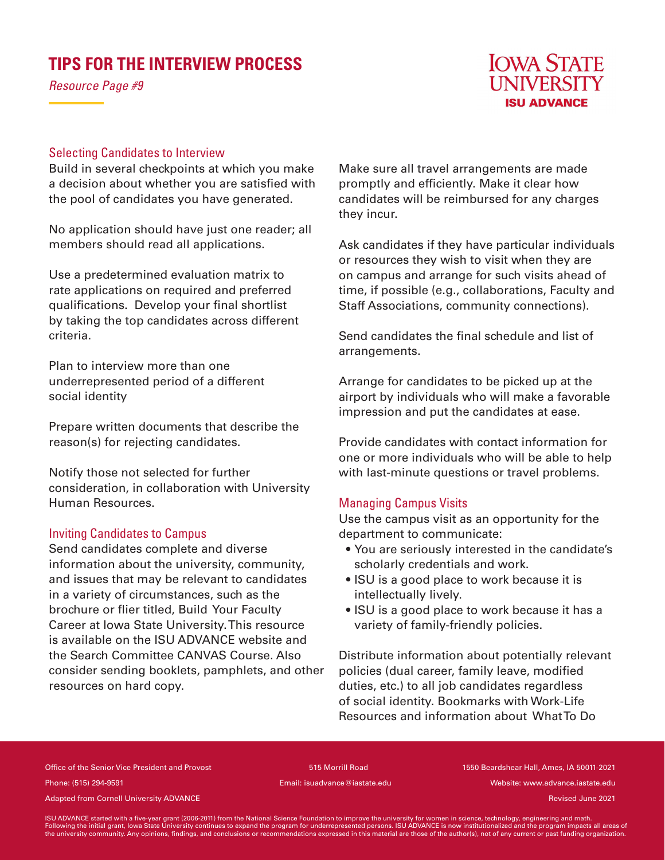# **TIPS FOR THE INTERVIEW PROCESS**

*Resource Page #9*



## Selecting Candidates to Interview

Build in several checkpoints at which you make a decision about whether you are satisfied with the pool of candidates you have generated.

No application should have just one reader; all members should read all applications.

Use a predetermined evaluation matrix to rate applications on required and preferred qualifications. Develop your final shortlist by taking the top candidates across different criteria.

Plan to interview more than one underrepresented period of a different social identity

Prepare written documents that describe the reason(s) for rejecting candidates.

Notify those not selected for further consideration, in collaboration with University Human Resources.

#### Inviting Candidates to Campus

Send candidates complete and diverse information about the university, community, and issues that may be relevant to candidates in a variety of circumstances, such as the brochure or flier titled, Build Your Faculty Career at Iowa State University. This resource is available on the ISU ADVANCE website and the Search Committee CANVAS Course. Also consider sending booklets, pamphlets, and other resources on hard copy.

Make sure all travel arrangements are made promptly and efficiently. Make it clear how candidates will be reimbursed for any charges they incur.

Ask candidates if they have particular individuals or resources they wish to visit when they are on campus and arrange for such visits ahead of time, if possible (e.g., collaborations, Faculty and Staff Associations, community connections).

Send candidates the final schedule and list of arrangements.

Arrange for candidates to be picked up at the airport by individuals who will make a favorable impression and put the candidates at ease.

Provide candidates with contact information for one or more individuals who will be able to help with last-minute questions or travel problems.

# Managing Campus Visits

Use the campus visit as an opportunity for the department to communicate:

- You are seriously interested in the candidate's scholarly credentials and work.
- ISU is a good place to work because it is intellectually lively.
- ISU is a good place to work because it has a variety of family-friendly policies.

Distribute information about potentially relevant policies (dual career, family leave, modified duties, etc.) to all job candidates regardless of social identity. Bookmarks with Work-Life Resources and information about What To Do

Office of the Senior Vice President and Provost 515 Morrill Road 1550 Beardshear Hall, Ames, IA 50011-2021 Phone: (515) 294-9591 Email: isuadvance@iastate.edu Website: www.advance.iastate.edu

Adapted from Cornell University ADVANCE and the cornell of the cornell of the cornell University ADVANCE and the cornell of the cornell University ADVANCE and the cornell of the cornell of the cornell of the cornell of the

ISU ADVANCE started with a five-year grant (2006-2011) from the National Science Foundation to improve the university for women in science, technology, engineering and math.<br>Following the initial grant, lowa State Universi the university community. Any opinions, findings, and conclusions or recommendations expressed in this material are those of the author(s), not of any current or past funding organization.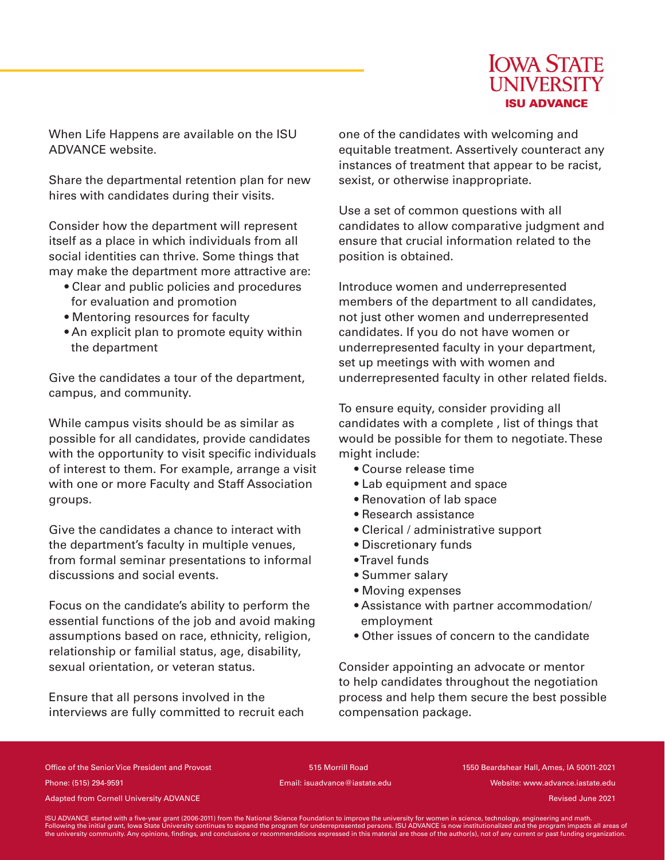

When Life Happens are available on the ISU ADVANCE website.

Share the departmental retention plan for new hires with candidates during their visits.

Consider how the department will represent itself as a place in which individuals from all social identities can thrive. Some things that may make the department more attractive are:

- Clear and public policies and procedures for evaluation and promotion
- Mentoring resources for faculty
- An explicit plan to promote equity within the department

Give the candidates a tour of the department, campus, and community.

While campus visits should be as similar as possible for all candidates, provide candidates with the opportunity to visit specific individuals of interest to them. For example, arrange a visit with one or more Faculty and Staff Association groups.

Give the candidates a chance to interact with the department's faculty in multiple venues, from formal seminar presentations to informal discussions and social events.

Focus on the candidate's ability to perform the essential functions of the job and avoid making assumptions based on race, ethnicity, religion, relationship or familial status, age, disability, sexual orientation, or veteran status.

Ensure that all persons involved in the interviews are fully committed to recruit each one of the candidates with welcoming and equitable treatment. Assertively counteract any instances of treatment that appear to be racist, sexist, or otherwise inappropriate.

Use a set of common questions with all candidates to allow comparative judgment and ensure that crucial information related to the position is obtained.

Introduce women and underrepresented members of the department to all candidates, not just other women and underrepresented candidates. If you do not have women or underrepresented faculty in your department, set up meetings with with women and underrepresented faculty in other related fields.

To ensure equity, consider providing all candidates with a complete , list of things that would be possible for them to negotiate. These might include:

- Course release time
- Lab equipment and space
- Renovation of lab space
- Research assistance
- Clerical / administrative support
- Discretionary funds
- Travel funds
- Summer salary
- Moving expenses
- Assistance with partner accommodation/ employment
- Other issues of concern to the candidate

Consider appointing an advocate or mentor to help candidates throughout the negotiation process and help them secure the best possible compensation package.

Office of the Senior Vice President and Provost 515 Morrill Road 1550 Beardshear Hall, Ames, IA 50011-2021 Phone: (515) 294-9591 Email: isuadvance@iastate.edu Website: www.advance.iastate.edu

Adapted from Cornell University ADVANCE and the cornell of the cornell of the cornell University ADVANCE and the cornell of the cornell University ADVANCE and the cornell of the cornell of the cornell of the cornell of the

ISU ADVANCE started with a five-year grant (2006-2011) from the National Science Foundation to improve the university for women in science, technology, engineering and math.<br>Following the initial grant, lowa State Universi the university community. Any opinions, findings, and conclusions or recommendations expressed in this material are those of the author(s), not of any current or past funding organization.